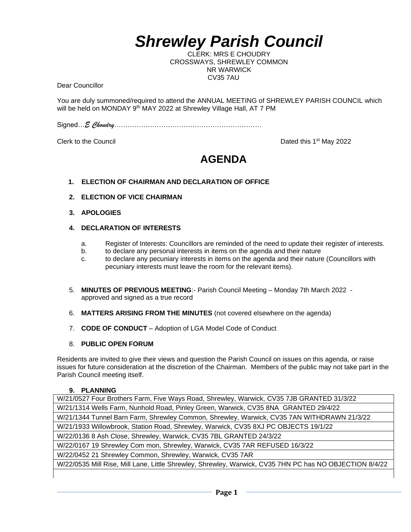# *Shrewley Parish Council*

CLERK: MRS E CHOUDRY CROSSWAYS, SHREWLEY COMMON NR WARWICK CV35 7AU

Dear Councillor

You are duly summoned/required to attend the ANNUAL MEETING of SHREWLEY PARISH COUNCIL which will be held on MONDAY 9<sup>th</sup> MAY 2022 at Shrewley Village Hall, AT 7 PM

Signed…*E Choudry*…………………………………………………………

Clerk to the Council **Dated this 1st May 2022** 

# **AGENDA**

#### **1. ELECTION OF CHAIRMAN AND DECLARATION OF OFFICE**

- **2. ELECTION OF VICE CHAIRMAN**
- **3. APOLOGIES**
- **4. DECLARATION OF INTERESTS**
	- a. Register of Interests: Councillors are reminded of the need to update their register of interests.
	- b. to declare any personal interests in items on the agenda and their nature
	- c. to declare any pecuniary interests in items on the agenda and their nature (Councillors with pecuniary interests must leave the room for the relevant items).
- 5. **MINUTES OF PREVIOUS MEETING**:- Parish Council Meeting Monday 7th March 2022 approved and signed as a true record
- 6. **MATTERS ARISING FROM THE MINUTES** (not covered elsewhere on the agenda)
- 7. **CODE OF CONDUCT** Adoption of LGA Model Code of Conduct
- 8. **PUBLIC OPEN FORUM**

Residents are invited to give their views and question the Parish Council on issues on this agenda, or raise issues for future consideration at the discretion of the Chairman. Members of the public may not take part in the Parish Council meeting itself.

#### **9. PLANNING**

W/21/0527 Four Brothers Farm, Five Ways Road, Shrewley, Warwick, CV35 7JB GRANTED 31/3/22 W/21/1314 Wells Farm, Nunhold Road, Pinley Green, Warwick, CV35 8NA GRANTED 29/4/22 W/21/1344 Tunnel Barn Farm, Shrewley Common, Shrewley, Warwick, CV35 7AN WITHDRAWN 21/3/22 W/21/1933 Willowbrook, Station Road, Shrewley, Warwick, CV35 8XJ PC OBJECTS 19/1/22 W/22/0136 8 Ash Close, Shrewley, Warwick, CV35 7BL GRANTED 24/3/22 W/22/0167 19 Shrewley Com mon, Shrewley, Warwick, CV35 7AR REFUSED 16/3/22 W/22/0452 21 Shrewley Common, Shrewley, Warwick, CV35 7AR W/22/0535 Mill Rise, Mill Lane, Little Shrewley, Shrewley, Warwick, CV35 7HN PC has NO OBJECTION 8/4/22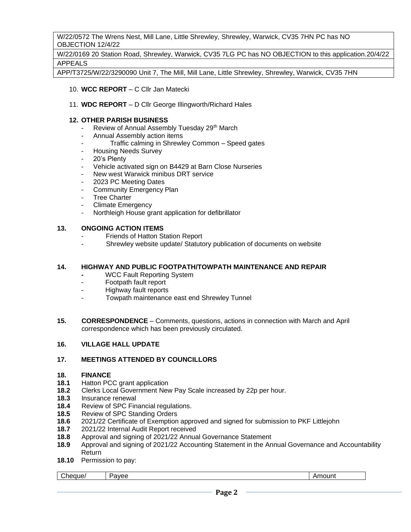W/22/0572 The Wrens Nest, Mill Lane, Little Shrewley, Shrewley, Warwick, CV35 7HN PC has NO OBJECTION 12/4/22

W/22/0169 20 Station Road, Shrewley, Warwick, CV35 7LG PC has NO OBJECTION to this application.20/4/22 APPEALS

APP/T3725/W/22/3290090 Unit 7, The Mill, Mill Lane, Little Shrewley, Shrewley, Warwick, CV35 7HN

- 10. **WCC REPORT** C Cllr Jan Matecki
- 11. **WDC REPORT** D Cllr George Illingworth/Richard Hales

# **12. OTHER PARISH BUSINESS**

- Review of Annual Assembly Tuesday 29<sup>th</sup> March
- Annual Assembly action items
	- Traffic calming in Shrewley Common Speed gates
- Housing Needs Survey
- 20's Plenty
- Vehicle activated sign on B4429 at Barn Close Nurseries
- New west Warwick minibus DRT service
- 2023 PC Meeting Dates
- **Community Emergency Plan**
- **Tree Charter**
- Climate Emergency
- Northleigh House grant application for defibrillator

#### **13. ONGOING ACTION ITEMS**

- Friends of Hatton Station Report
- Shrewley website update/ Statutory publication of documents on website

## **14. HIGHWAY AND PUBLIC FOOTPATH/TOWPATH MAINTENANCE AND REPAIR**

- **WCC Fault Reporting System**
- Footpath fault report
- Highway fault reports
- Towpath maintenance east end Shrewley Tunnel
- **15. CORRESPONDENCE** Comments, questions, actions in connection with March and April correspondence which has been previously circulated.

## **16. VILLAGE HALL UPDATE**

# **17. MEETINGS ATTENDED BY COUNCILLORS**

#### **18. FINANCE**

- **18.1** Hatton PCC grant application
- **18.2** Clerks Local Government New Pay Scale increased by 22p per hour.
- **18.3** Insurance renewal
- **18.4** Review of SPC Financial regulations.
- **18.5** Review of SPC Standing Orders
- **18.6** 2021/22 Certificate of Exemption approved and signed for submission to PKF Littlejohn
- **18.7** 2021/22 Internal Audit Report received
- **18.8** Approval and signing of 2021/22 Annual Governance Statement
- **18.9** Approval and signing of 2021/22 Accounting Statement in the Annual Governance and Accountability Return
- **18.10** Permission to pay:

Cheque/ Payee Amount Research Payee Amount Research Payee Amount Research Payee Amount Research Payee Amount R